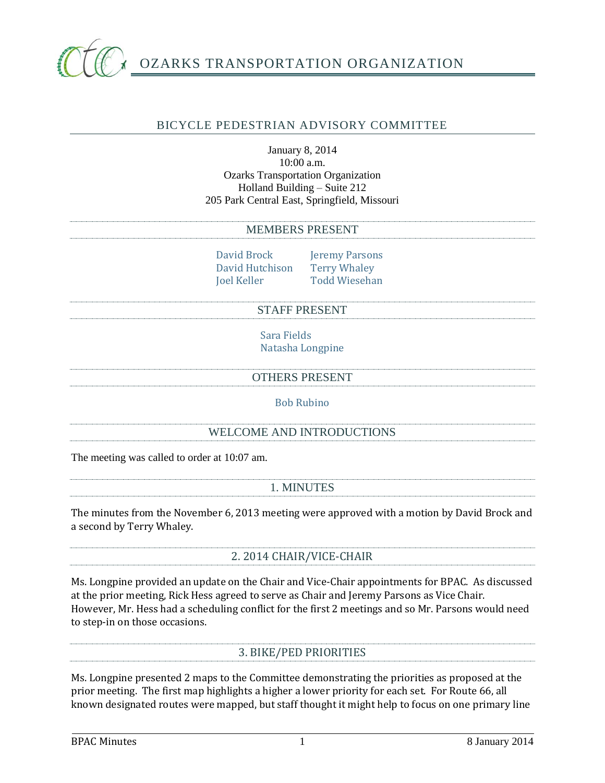

# OZARKS TRANSPORTATION ORGANIZATION

## BICYCLE PEDESTRIAN ADVISORY COMMITTEE

## January 8, 2014 10:00 a.m. Ozarks Transportation Organization Holland Building – Suite 212 205 Park Central East, Springfield, Missouri

#### MEMBERS PRESENT

David Brock Jeremy Parsons David Hutchison Terry Whaley Joel Keller Todd Wiesehan

#### STAFF PRESENT

Sara Fields Natasha Longpine

OTHERS PRESENT

Bob Rubino

## WELCOME AND INTRODUCTIONS

The meeting was called to order at 10:07 am.

## 1. MINUTES

The minutes from the November 6, 2013 meeting were approved with a motion by David Brock and a second by Terry Whaley.

# 2. 2014 CHAIR/VICE-CHAIR

Ms. Longpine provided an update on the Chair and Vice-Chair appointments for BPAC. As discussed at the prior meeting, Rick Hess agreed to serve as Chair and Jeremy Parsons as Vice Chair. However, Mr. Hess had a scheduling conflict for the first 2 meetings and so Mr. Parsons would need to step-in on those occasions.

## 3. BIKE/PED PRIORITIES

Ms. Longpine presented 2 maps to the Committee demonstrating the priorities as proposed at the prior meeting. The first map highlights a higher a lower priority for each set. For Route 66, all known designated routes were mapped, but staff thought it might help to focus on one primary line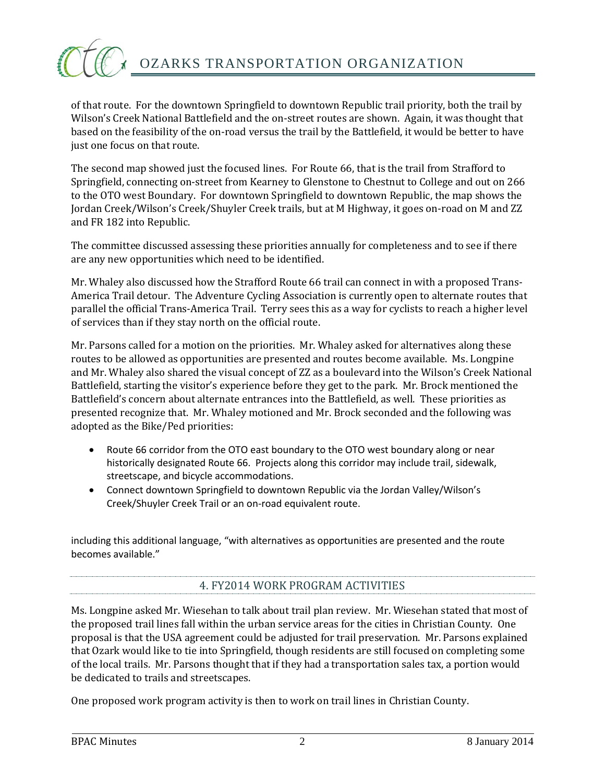

of that route. For the downtown Springfield to downtown Republic trail priority, both the trail by Wilson's Creek National Battlefield and the on-street routes are shown. Again, it was thought that based on the feasibility of the on-road versus the trail by the Battlefield, it would be better to have just one focus on that route.

The second map showed just the focused lines. For Route 66, that is the trail from Strafford to Springfield, connecting on-street from Kearney to Glenstone to Chestnut to College and out on 266 to the OTO west Boundary. For downtown Springfield to downtown Republic, the map shows the Jordan Creek/Wilson's Creek/Shuyler Creek trails, but at M Highway, it goes on-road on M and ZZ and FR 182 into Republic.

The committee discussed assessing these priorities annually for completeness and to see if there are any new opportunities which need to be identified.

Mr. Whaley also discussed how the Strafford Route 66 trail can connect in with a proposed Trans-America Trail detour. The Adventure Cycling Association is currently open to alternate routes that parallel the official Trans-America Trail. Terry sees this as a way for cyclists to reach a higher level of services than if they stay north on the official route.

Mr. Parsons called for a motion on the priorities. Mr. Whaley asked for alternatives along these routes to be allowed as opportunities are presented and routes become available. Ms. Longpine and Mr. Whaley also shared the visual concept of ZZ as a boulevard into the Wilson's Creek National Battlefield, starting the visitor's experience before they get to the park. Mr. Brock mentioned the Battlefield's concern about alternate entrances into the Battlefield, as well. These priorities as presented recognize that. Mr. Whaley motioned and Mr. Brock seconded and the following was adopted as the Bike/Ped priorities:

- Route 66 corridor from the OTO east boundary to the OTO west boundary along or near historically designated Route 66. Projects along this corridor may include trail, sidewalk, streetscape, and bicycle accommodations.
- Connect downtown Springfield to downtown Republic via the Jordan Valley/Wilson's Creek/Shuyler Creek Trail or an on-road equivalent route.

including this additional language, "with alternatives as opportunities are presented and the route becomes available."

# 4. FY2014 WORK PROGRAM ACTIVITIES

Ms. Longpine asked Mr. Wiesehan to talk about trail plan review. Mr. Wiesehan stated that most of the proposed trail lines fall within the urban service areas for the cities in Christian County. One proposal is that the USA agreement could be adjusted for trail preservation. Mr. Parsons explained that Ozark would like to tie into Springfield, though residents are still focused on completing some of the local trails. Mr. Parsons thought that if they had a transportation sales tax, a portion would be dedicated to trails and streetscapes.

One proposed work program activity is then to work on trail lines in Christian County.